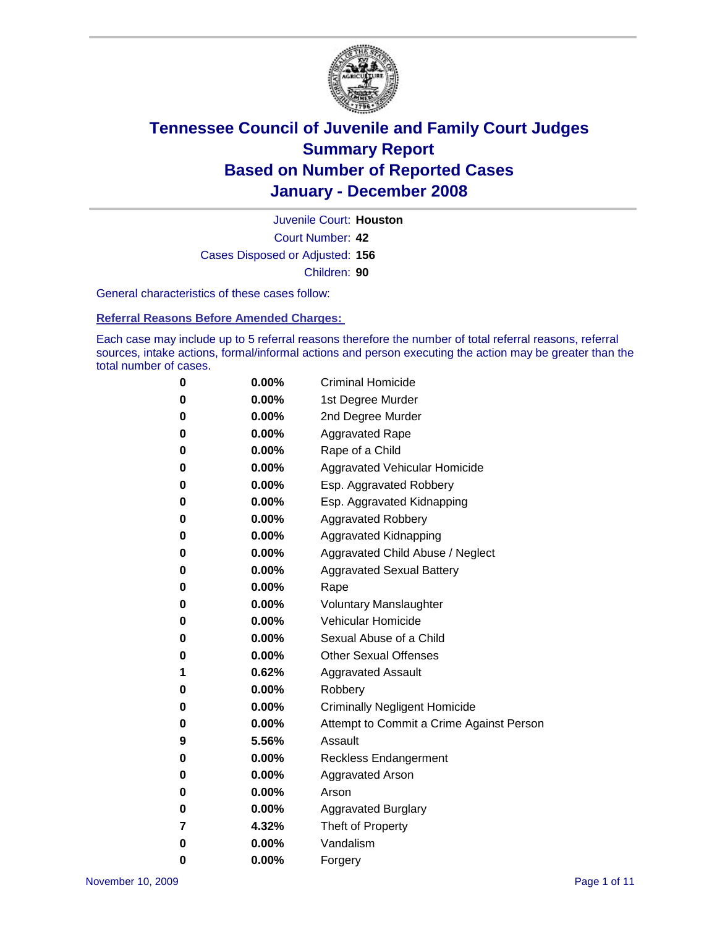

Court Number: **42** Juvenile Court: **Houston** Cases Disposed or Adjusted: **156** Children: **90**

General characteristics of these cases follow:

**Referral Reasons Before Amended Charges:** 

Each case may include up to 5 referral reasons therefore the number of total referral reasons, referral sources, intake actions, formal/informal actions and person executing the action may be greater than the total number of cases.

| 0        | 0.00%    | <b>Criminal Homicide</b>                 |
|----------|----------|------------------------------------------|
| 0        | 0.00%    | 1st Degree Murder                        |
| 0        | $0.00\%$ | 2nd Degree Murder                        |
| 0        | $0.00\%$ | <b>Aggravated Rape</b>                   |
| 0        | 0.00%    | Rape of a Child                          |
| 0        | 0.00%    | Aggravated Vehicular Homicide            |
| 0        | $0.00\%$ | Esp. Aggravated Robbery                  |
| 0        | $0.00\%$ | Esp. Aggravated Kidnapping               |
| $\bf{0}$ | 0.00%    | <b>Aggravated Robbery</b>                |
| 0        | $0.00\%$ | Aggravated Kidnapping                    |
| $\bf{0}$ | $0.00\%$ | Aggravated Child Abuse / Neglect         |
| $\bf{0}$ | 0.00%    | <b>Aggravated Sexual Battery</b>         |
| 0        | 0.00%    | Rape                                     |
| 0        | 0.00%    | <b>Voluntary Manslaughter</b>            |
| 0        | 0.00%    | Vehicular Homicide                       |
| 0        | $0.00\%$ | Sexual Abuse of a Child                  |
| $\bf{0}$ | $0.00\%$ | <b>Other Sexual Offenses</b>             |
| 1        | 0.62%    | <b>Aggravated Assault</b>                |
| $\bf{0}$ | 0.00%    | Robbery                                  |
| 0        | $0.00\%$ | <b>Criminally Negligent Homicide</b>     |
| $\bf{0}$ | 0.00%    | Attempt to Commit a Crime Against Person |
| 9        | 5.56%    | Assault                                  |
| $\bf{0}$ | $0.00\%$ | Reckless Endangerment                    |
| 0        | $0.00\%$ | <b>Aggravated Arson</b>                  |
| 0        | 0.00%    | Arson                                    |
| 0        | 0.00%    | <b>Aggravated Burglary</b>               |
| 7        | 4.32%    | Theft of Property                        |
| 0        | $0.00\%$ | Vandalism                                |
| 0        | 0.00%    | Forgery                                  |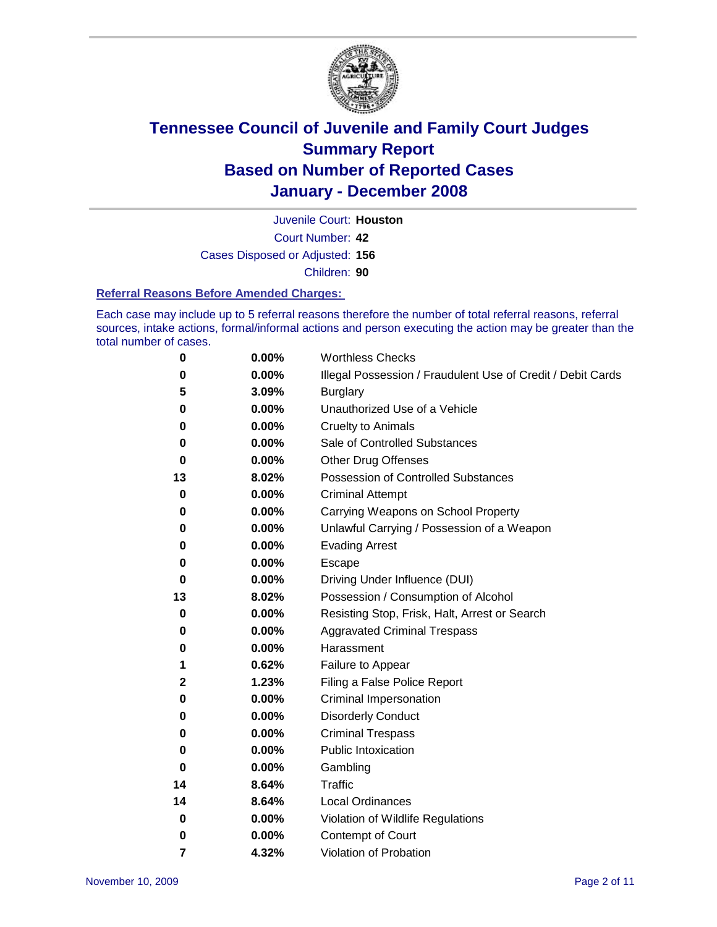

Court Number: **42** Juvenile Court: **Houston** Cases Disposed or Adjusted: **156** Children: **90**

#### **Referral Reasons Before Amended Charges:**

Each case may include up to 5 referral reasons therefore the number of total referral reasons, referral sources, intake actions, formal/informal actions and person executing the action may be greater than the total number of cases.

| 0  | 0.00%    | <b>Worthless Checks</b>                                     |
|----|----------|-------------------------------------------------------------|
| 0  | 0.00%    | Illegal Possession / Fraudulent Use of Credit / Debit Cards |
| 5  | 3.09%    | <b>Burglary</b>                                             |
| 0  | 0.00%    | Unauthorized Use of a Vehicle                               |
| 0  | 0.00%    | <b>Cruelty to Animals</b>                                   |
| 0  | 0.00%    | Sale of Controlled Substances                               |
| 0  | 0.00%    | <b>Other Drug Offenses</b>                                  |
| 13 | 8.02%    | <b>Possession of Controlled Substances</b>                  |
| 0  | 0.00%    | <b>Criminal Attempt</b>                                     |
| 0  | 0.00%    | Carrying Weapons on School Property                         |
| 0  | 0.00%    | Unlawful Carrying / Possession of a Weapon                  |
| 0  | 0.00%    | <b>Evading Arrest</b>                                       |
| 0  | 0.00%    | Escape                                                      |
| 0  | 0.00%    | Driving Under Influence (DUI)                               |
| 13 | 8.02%    | Possession / Consumption of Alcohol                         |
| 0  | 0.00%    | Resisting Stop, Frisk, Halt, Arrest or Search               |
| 0  | $0.00\%$ | <b>Aggravated Criminal Trespass</b>                         |
| 0  | 0.00%    | Harassment                                                  |
| 1  | 0.62%    | Failure to Appear                                           |
| 2  | 1.23%    | Filing a False Police Report                                |
| 0  | 0.00%    | Criminal Impersonation                                      |
| 0  | 0.00%    | <b>Disorderly Conduct</b>                                   |
| 0  | 0.00%    | <b>Criminal Trespass</b>                                    |
| 0  | 0.00%    | <b>Public Intoxication</b>                                  |
| 0  | 0.00%    | Gambling                                                    |
| 14 | 8.64%    | Traffic                                                     |
| 14 | 8.64%    | <b>Local Ordinances</b>                                     |
| 0  | 0.00%    | Violation of Wildlife Regulations                           |
| 0  | 0.00%    | Contempt of Court                                           |
| 7  | 4.32%    | Violation of Probation                                      |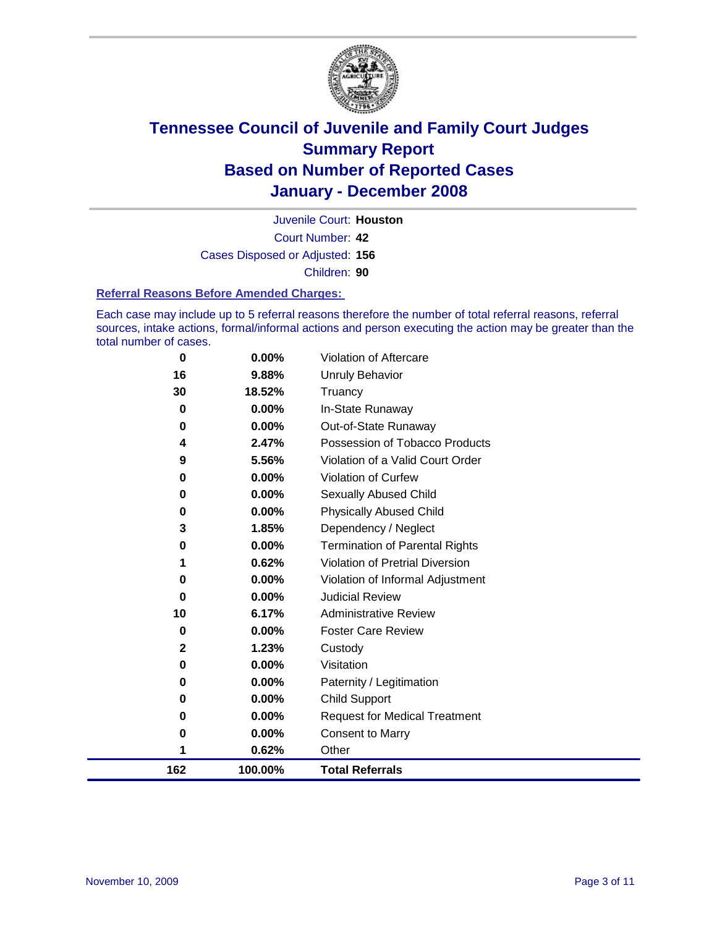

Court Number: **42** Juvenile Court: **Houston** Cases Disposed or Adjusted: **156** Children: **90**

#### **Referral Reasons Before Amended Charges:**

Each case may include up to 5 referral reasons therefore the number of total referral reasons, referral sources, intake actions, formal/informal actions and person executing the action may be greater than the total number of cases.

| $\bf{0}$    | 0.00%   | Violation of Aftercare                |
|-------------|---------|---------------------------------------|
| 16          | 9.88%   | Unruly Behavior                       |
| 30          | 18.52%  | Truancy                               |
| $\bf{0}$    | 0.00%   | In-State Runaway                      |
| $\bf{0}$    | 0.00%   | Out-of-State Runaway                  |
| 4           | 2.47%   | Possession of Tobacco Products        |
| 9           | 5.56%   | Violation of a Valid Court Order      |
| 0           | 0.00%   | <b>Violation of Curfew</b>            |
| 0           | 0.00%   | Sexually Abused Child                 |
| 0           | 0.00%   | <b>Physically Abused Child</b>        |
| 3           | 1.85%   | Dependency / Neglect                  |
| 0           | 0.00%   | <b>Termination of Parental Rights</b> |
| 1           | 0.62%   | Violation of Pretrial Diversion       |
| 0           | 0.00%   | Violation of Informal Adjustment      |
| 0           | 0.00%   | <b>Judicial Review</b>                |
| 10          | 6.17%   | <b>Administrative Review</b>          |
| 0           | 0.00%   | <b>Foster Care Review</b>             |
| $\mathbf 2$ | 1.23%   | Custody                               |
| 0           | 0.00%   | Visitation                            |
| 0           | 0.00%   | Paternity / Legitimation              |
| 0           | 0.00%   | <b>Child Support</b>                  |
| 0           | 0.00%   | <b>Request for Medical Treatment</b>  |
| 0           | 0.00%   | <b>Consent to Marry</b>               |
| 1           | 0.62%   | Other                                 |
| 162         | 100.00% | <b>Total Referrals</b>                |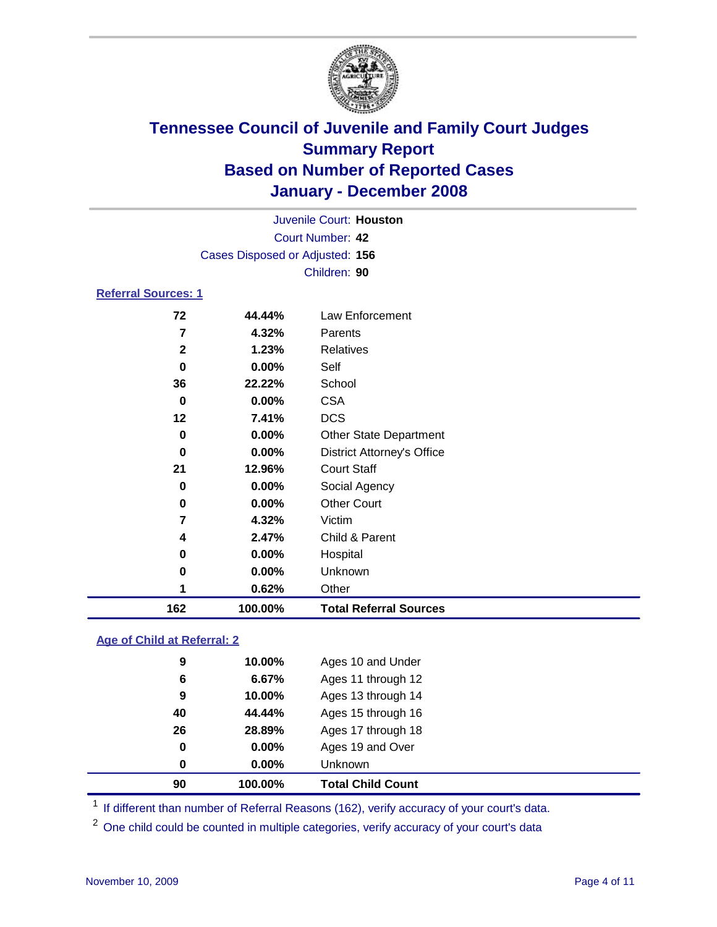

|                            |                                 |        | Juvenile Court: Houston |  |  |  |
|----------------------------|---------------------------------|--------|-------------------------|--|--|--|
|                            | Court Number: 42                |        |                         |  |  |  |
|                            | Cases Disposed or Adjusted: 156 |        |                         |  |  |  |
|                            |                                 |        | Children: 90            |  |  |  |
| <b>Referral Sources: 1</b> |                                 |        |                         |  |  |  |
|                            | 72                              | 44.44% | Law Enforcement         |  |  |  |
|                            | 7                               | 4.32%  | Parents                 |  |  |  |
|                            | 2                               | 1.23%  | <b>Relatives</b>        |  |  |  |

| 162 | 100.00% | <b>Total Referral Sources</b>     |
|-----|---------|-----------------------------------|
|     | 0.62%   | Other                             |
| 0   | 0.00%   | Unknown                           |
| 0   | 0.00%   | Hospital                          |
| 4   | 2.47%   | Child & Parent                    |
| 7   | 4.32%   | Victim                            |
| 0   | 0.00%   | <b>Other Court</b>                |
| 0   | 0.00%   | Social Agency                     |
| 21  | 12.96%  | <b>Court Staff</b>                |
| 0   | 0.00%   | <b>District Attorney's Office</b> |
| 0   | 0.00%   | <b>Other State Department</b>     |
| 12  | 7.41%   | <b>DCS</b>                        |
| 0   | 0.00%   | <b>CSA</b>                        |
| 36  | 22.22%  | School                            |
| 0   | 0.00%   | Self                              |
| ▴   | 1.2370  | $I\cup G$ ialivco                 |

### **Age of Child at Referral: 2**

| 0<br>0 | 0.00%<br>0.00% | Ages 19 and Over<br><b>Unknown</b> |
|--------|----------------|------------------------------------|
|        |                |                                    |
|        |                |                                    |
|        |                | Ages 17 through 18                 |
| 40     | 44.44%         | Ages 15 through 16                 |
| 9      | 10.00%         | Ages 13 through 14                 |
| 6      | 6.67%          | Ages 11 through 12                 |
| 9      | 10.00%         | Ages 10 and Under                  |
|        |                | 26<br>28.89%                       |

<sup>1</sup> If different than number of Referral Reasons (162), verify accuracy of your court's data.

One child could be counted in multiple categories, verify accuracy of your court's data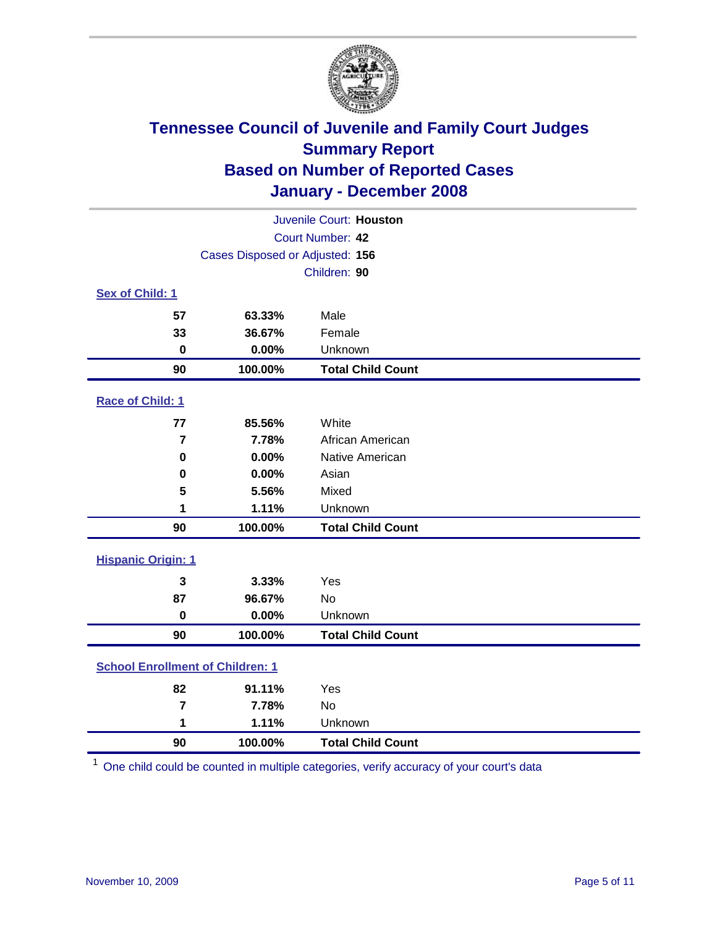

| Juvenile Court: Houston                 |                                 |                          |  |  |  |
|-----------------------------------------|---------------------------------|--------------------------|--|--|--|
| Court Number: 42                        |                                 |                          |  |  |  |
|                                         | Cases Disposed or Adjusted: 156 |                          |  |  |  |
|                                         |                                 | Children: 90             |  |  |  |
| Sex of Child: 1                         |                                 |                          |  |  |  |
| 57                                      | 63.33%                          | Male                     |  |  |  |
| 33                                      | 36.67%                          | Female                   |  |  |  |
| $\bf{0}$                                | 0.00%                           | Unknown                  |  |  |  |
| 90                                      | 100.00%                         | <b>Total Child Count</b> |  |  |  |
| Race of Child: 1                        |                                 |                          |  |  |  |
| 77                                      | 85.56%                          | White                    |  |  |  |
| $\overline{7}$                          | 7.78%                           | African American         |  |  |  |
| $\bf{0}$                                | 0.00%                           | Native American          |  |  |  |
| 0                                       | 0.00%                           | Asian                    |  |  |  |
| 5                                       | 5.56%                           | Mixed                    |  |  |  |
| 1                                       | 1.11%                           | Unknown                  |  |  |  |
| 90                                      | 100.00%                         | <b>Total Child Count</b> |  |  |  |
| <b>Hispanic Origin: 1</b>               |                                 |                          |  |  |  |
| 3                                       | 3.33%                           | Yes                      |  |  |  |
| 87                                      | 96.67%                          | No                       |  |  |  |
| $\mathbf 0$                             | 0.00%                           | Unknown                  |  |  |  |
| 90                                      | 100.00%                         | <b>Total Child Count</b> |  |  |  |
| <b>School Enrollment of Children: 1</b> |                                 |                          |  |  |  |
| 82                                      | 91.11%                          | Yes                      |  |  |  |
| 7                                       | 7.78%                           | No                       |  |  |  |
| 1                                       | 1.11%                           | Unknown                  |  |  |  |
| 90                                      | 100.00%                         | <b>Total Child Count</b> |  |  |  |

One child could be counted in multiple categories, verify accuracy of your court's data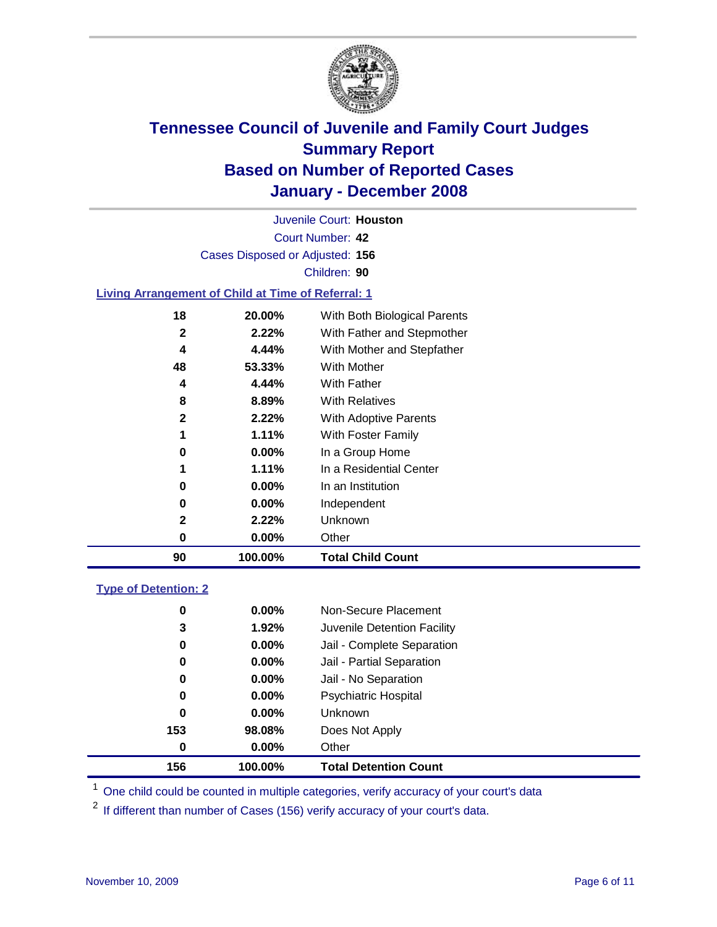

Court Number: **42** Juvenile Court: **Houston** Cases Disposed or Adjusted: **156** Children: **90 Living Arrangement of Child at Time of Referral: 1**

| 90 | 100.00%  | <b>Total Child Count</b>     |
|----|----------|------------------------------|
| 0  | $0.00\%$ | Other                        |
| 2  | 2.22%    | Unknown                      |
| 0  | $0.00\%$ | Independent                  |
| 0  | $0.00\%$ | In an Institution            |
| 1  | 1.11%    | In a Residential Center      |
| 0  | $0.00\%$ | In a Group Home              |
| 1  | 1.11%    | With Foster Family           |
| 2  | 2.22%    | With Adoptive Parents        |
| 8  | 8.89%    | <b>With Relatives</b>        |
| 4  | 4.44%    | With Father                  |
| 48 | 53.33%   | With Mother                  |
| 4  | 4.44%    | With Mother and Stepfather   |
| 2  | 2.22%    | With Father and Stepmother   |
| 18 | 20.00%   | With Both Biological Parents |
|    |          |                              |

### **Type of Detention: 2**

| 156 | 100.00%       | <b>Total Detention Count</b> |
|-----|---------------|------------------------------|
|     | 0.00%<br>0    | Other                        |
| 153 | 98.08%        | Does Not Apply               |
|     | 0<br>$0.00\%$ | <b>Unknown</b>               |
|     | 0.00%<br>0    | <b>Psychiatric Hospital</b>  |
|     | $0.00\%$<br>0 | Jail - No Separation         |
|     | 0<br>$0.00\%$ | Jail - Partial Separation    |
|     | 0<br>$0.00\%$ | Jail - Complete Separation   |
|     | 3<br>1.92%    | Juvenile Detention Facility  |
|     | 0<br>$0.00\%$ | Non-Secure Placement         |
|     |               |                              |

<sup>1</sup> One child could be counted in multiple categories, verify accuracy of your court's data

<sup>2</sup> If different than number of Cases (156) verify accuracy of your court's data.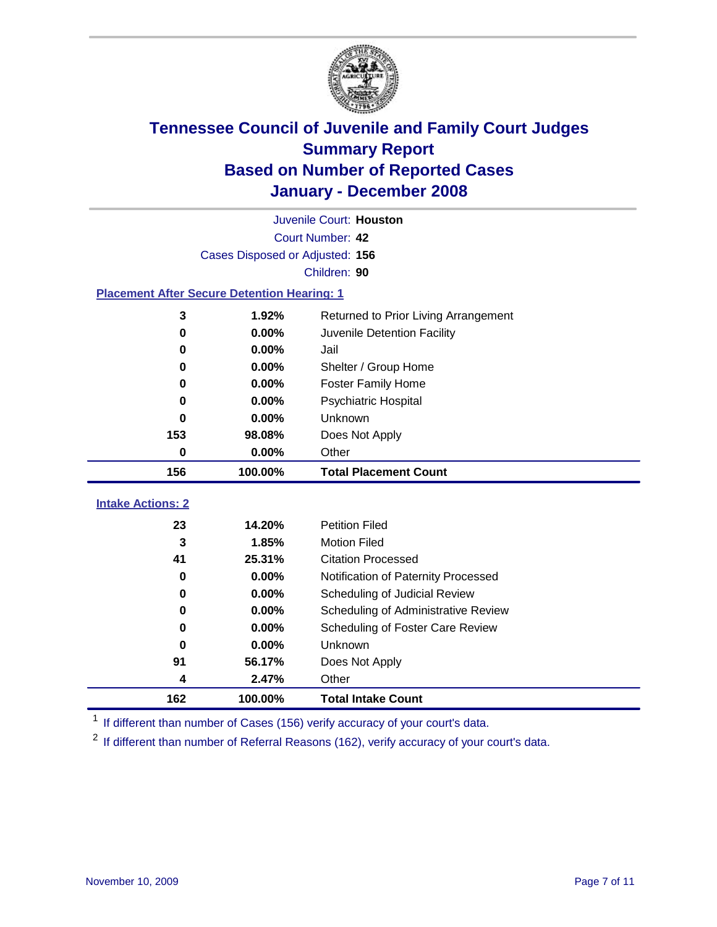

|                          | Juvenile Court: Houston                            |                                      |  |  |  |
|--------------------------|----------------------------------------------------|--------------------------------------|--|--|--|
|                          | Court Number: 42                                   |                                      |  |  |  |
|                          | Cases Disposed or Adjusted: 156                    |                                      |  |  |  |
|                          |                                                    | Children: 90                         |  |  |  |
|                          | <b>Placement After Secure Detention Hearing: 1</b> |                                      |  |  |  |
| 3                        | 1.92%                                              | Returned to Prior Living Arrangement |  |  |  |
| $\bf{0}$                 | 0.00%                                              | Juvenile Detention Facility          |  |  |  |
| 0                        | 0.00%                                              | Jail                                 |  |  |  |
| $\bf{0}$                 | $0.00\%$                                           | Shelter / Group Home                 |  |  |  |
| 0                        | 0.00%                                              | <b>Foster Family Home</b>            |  |  |  |
| $\bf{0}$                 | 0.00%                                              | Psychiatric Hospital                 |  |  |  |
| 0                        | 0.00%                                              | Unknown                              |  |  |  |
| 153                      | 98.08%                                             | Does Not Apply                       |  |  |  |
| 0                        | 0.00%                                              | Other                                |  |  |  |
| 156                      | 100.00%                                            | <b>Total Placement Count</b>         |  |  |  |
| <b>Intake Actions: 2</b> |                                                    |                                      |  |  |  |
|                          | 14.20%                                             | <b>Petition Filed</b>                |  |  |  |
| 23<br>3                  | 1.85%                                              | <b>Motion Filed</b>                  |  |  |  |
| 41                       | 25.31%                                             | <b>Citation Processed</b>            |  |  |  |
| $\bf{0}$                 | 0.00%                                              |                                      |  |  |  |
|                          | 0.00%                                              | Notification of Paternity Processed  |  |  |  |
| 0<br>0                   | 0.00%                                              | Scheduling of Judicial Review        |  |  |  |
|                          |                                                    | Scheduling of Administrative Review  |  |  |  |
| 0                        | 0.00%                                              | Scheduling of Foster Care Review     |  |  |  |
| $\bf{0}$                 | 0.00%                                              | Unknown                              |  |  |  |
| 91                       | 56.17%                                             | Does Not Apply                       |  |  |  |
| 4                        | 2.47%                                              | Other                                |  |  |  |
| 162                      | 100.00%                                            | <b>Total Intake Count</b>            |  |  |  |

<sup>1</sup> If different than number of Cases (156) verify accuracy of your court's data.

<sup>2</sup> If different than number of Referral Reasons (162), verify accuracy of your court's data.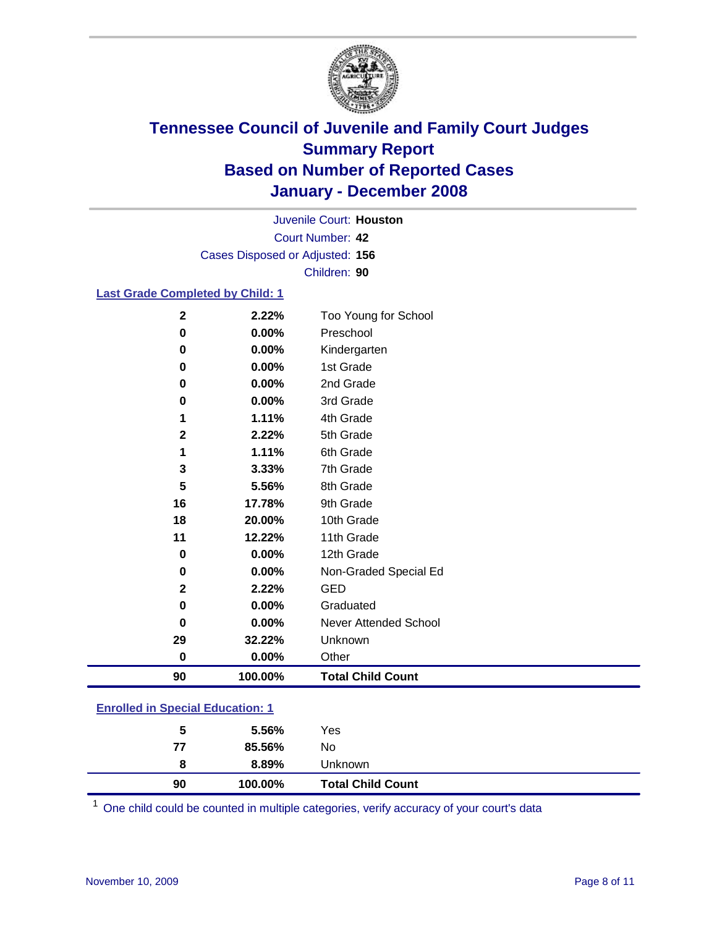

Court Number: **42** Juvenile Court: **Houston** Cases Disposed or Adjusted: **156** Children: **90**

### **Last Grade Completed by Child: 1**

| 90           | 100.00% | <b>Total Child Count</b> |
|--------------|---------|--------------------------|
| 0            | 0.00%   | Other                    |
| 29           | 32.22%  | Unknown                  |
| 0            | 0.00%   | Never Attended School    |
| 0            | 0.00%   | Graduated                |
| $\mathbf{2}$ | 2.22%   | <b>GED</b>               |
| 0            | 0.00%   | Non-Graded Special Ed    |
| 0            | 0.00%   | 12th Grade               |
| 11           | 12.22%  | 11th Grade               |
| 18           | 20.00%  | 10th Grade               |
| 16           | 17.78%  | 9th Grade                |
| 5            | 5.56%   | 8th Grade                |
| 3            | 3.33%   | 7th Grade                |
| 1            | 1.11%   | 6th Grade                |
| $\mathbf 2$  | 2.22%   | 5th Grade                |
| 1            | 1.11%   | 4th Grade                |
| 0            | 0.00%   | 3rd Grade                |
| 0            | 0.00%   | 2nd Grade                |
| 0            | 0.00%   | 1st Grade                |
| 0            | 0.00%   | Kindergarten             |
| 0            | 0.00%   | Preschool                |
| $\mathbf 2$  | 2.22%   | Too Young for School     |

### **Enrolled in Special Education: 1**

One child could be counted in multiple categories, verify accuracy of your court's data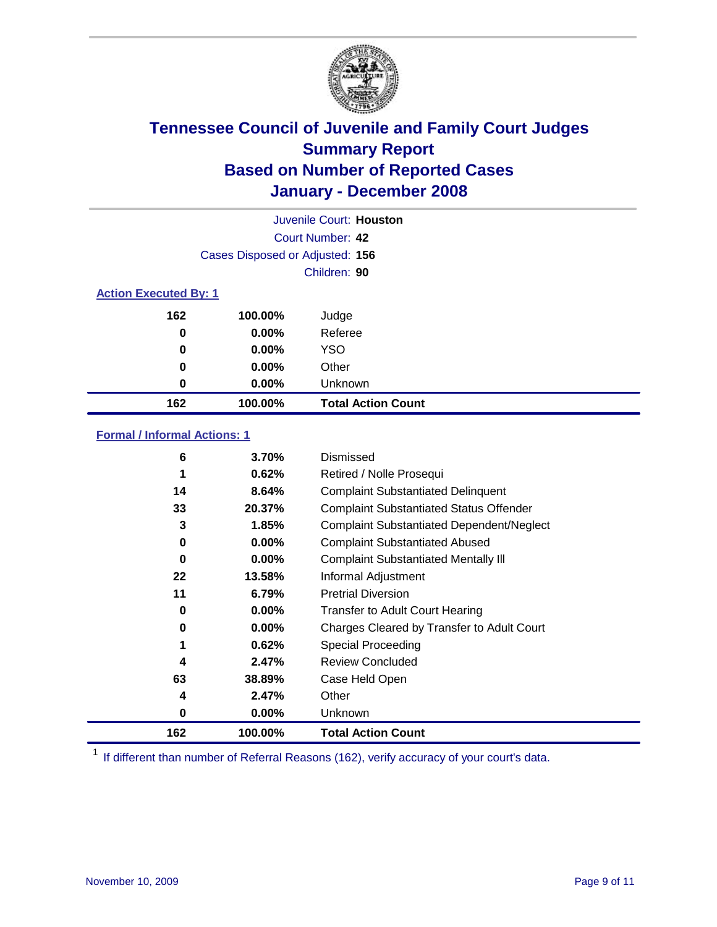

|                              |                                 | Juvenile Court: Houston   |
|------------------------------|---------------------------------|---------------------------|
|                              |                                 | Court Number: 42          |
|                              | Cases Disposed or Adjusted: 156 |                           |
|                              |                                 | Children: 90              |
| <b>Action Executed By: 1</b> |                                 |                           |
| 162                          | 100.00%                         | Judge                     |
| 0                            | $0.00\%$                        | Referee                   |
| 0                            | $0.00\%$                        | <b>YSO</b>                |
| 0                            | 0.00%                           | Other                     |
| 0                            | 0.00%                           | Unknown                   |
| 162                          | 100.00%                         | <b>Total Action Count</b> |

### **Formal / Informal Actions: 1**

| 6   | 3.70%    | Dismissed                                        |
|-----|----------|--------------------------------------------------|
| 1   | 0.62%    | Retired / Nolle Prosequi                         |
| 14  | 8.64%    | <b>Complaint Substantiated Delinquent</b>        |
| 33  | 20.37%   | <b>Complaint Substantiated Status Offender</b>   |
| 3   | 1.85%    | <b>Complaint Substantiated Dependent/Neglect</b> |
| 0   | 0.00%    | <b>Complaint Substantiated Abused</b>            |
| 0   | 0.00%    | <b>Complaint Substantiated Mentally III</b>      |
| 22  | 13.58%   | Informal Adjustment                              |
| 11  | 6.79%    | <b>Pretrial Diversion</b>                        |
| 0   | $0.00\%$ | <b>Transfer to Adult Court Hearing</b>           |
| 0   | $0.00\%$ | Charges Cleared by Transfer to Adult Court       |
| 1   | 0.62%    | Special Proceeding                               |
| 4   | 2.47%    | <b>Review Concluded</b>                          |
| 63  | 38.89%   | Case Held Open                                   |
| 4   | 2.47%    | Other                                            |
| 0   | $0.00\%$ | <b>Unknown</b>                                   |
| 162 | 100.00%  | <b>Total Action Count</b>                        |

<sup>1</sup> If different than number of Referral Reasons (162), verify accuracy of your court's data.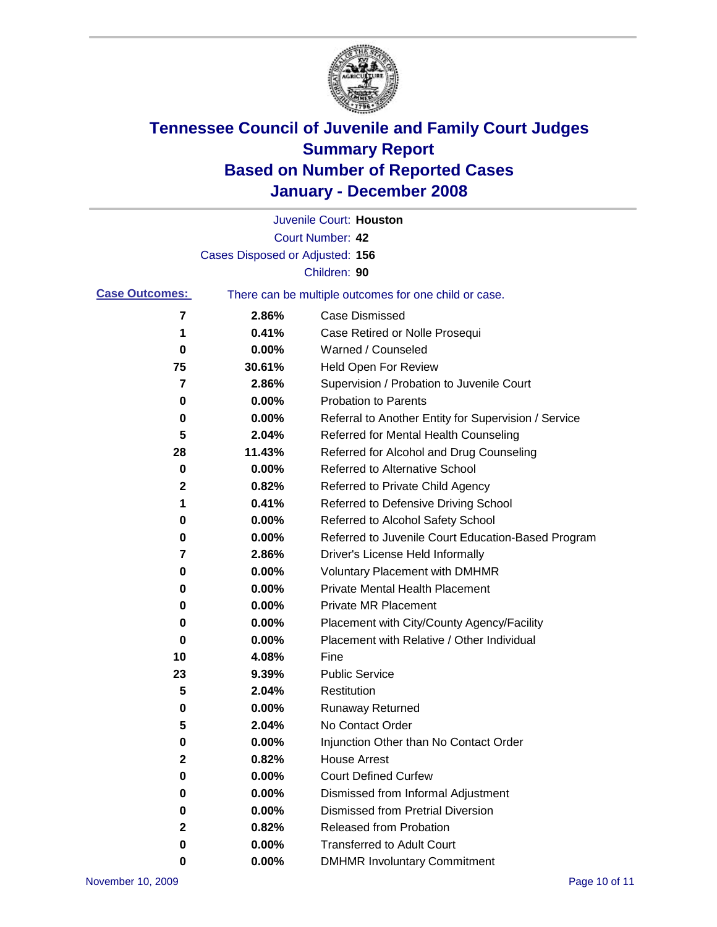

|                       |                                 | Juvenile Court: Houston                               |
|-----------------------|---------------------------------|-------------------------------------------------------|
|                       |                                 | Court Number: 42                                      |
|                       | Cases Disposed or Adjusted: 156 |                                                       |
|                       |                                 | Children: 90                                          |
| <b>Case Outcomes:</b> |                                 | There can be multiple outcomes for one child or case. |
| 7                     | 2.86%                           | <b>Case Dismissed</b>                                 |
| 1                     | 0.41%                           | Case Retired or Nolle Prosequi                        |
| 0                     | 0.00%                           | Warned / Counseled                                    |
| 75                    | 30.61%                          | Held Open For Review                                  |
| 7                     | 2.86%                           | Supervision / Probation to Juvenile Court             |
| 0                     | 0.00%                           | <b>Probation to Parents</b>                           |
| 0                     | 0.00%                           | Referral to Another Entity for Supervision / Service  |
| 5                     | 2.04%                           | Referred for Mental Health Counseling                 |
| 28                    | 11.43%                          | Referred for Alcohol and Drug Counseling              |
| 0                     | 0.00%                           | <b>Referred to Alternative School</b>                 |
| 2                     | 0.82%                           | Referred to Private Child Agency                      |
| 1                     | 0.41%                           | Referred to Defensive Driving School                  |
| 0                     | 0.00%                           | Referred to Alcohol Safety School                     |
| 0                     | 0.00%                           | Referred to Juvenile Court Education-Based Program    |
| 7                     | 2.86%                           | Driver's License Held Informally                      |
| 0                     | 0.00%                           | <b>Voluntary Placement with DMHMR</b>                 |
| 0                     | 0.00%                           | <b>Private Mental Health Placement</b>                |
| 0                     | 0.00%                           | <b>Private MR Placement</b>                           |
| 0                     | 0.00%                           | Placement with City/County Agency/Facility            |
| 0                     | 0.00%                           | Placement with Relative / Other Individual            |
| 10                    | 4.08%                           | Fine                                                  |
| 23                    | 9.39%                           | <b>Public Service</b>                                 |
| 5                     | 2.04%                           | Restitution                                           |
| 0                     | 0.00%                           | <b>Runaway Returned</b>                               |
| 5                     | 2.04%                           | No Contact Order                                      |
| 0                     | $0.00\%$                        | Injunction Other than No Contact Order                |
| $\mathbf 2$           | 0.82%                           | <b>House Arrest</b>                                   |
| 0                     | 0.00%                           | <b>Court Defined Curfew</b>                           |
| 0                     | 0.00%                           | Dismissed from Informal Adjustment                    |
| 0                     | 0.00%                           | <b>Dismissed from Pretrial Diversion</b>              |
| 2                     | 0.82%                           | Released from Probation                               |
| 0                     | 0.00%                           | <b>Transferred to Adult Court</b>                     |
| 0                     | $0.00\%$                        | <b>DMHMR Involuntary Commitment</b>                   |